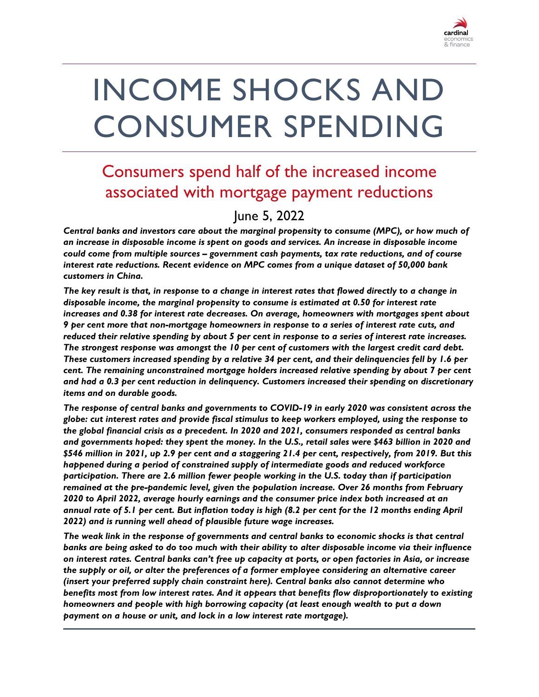

# INCOME SHOCKS AND CONSUMER SPENDING

## Consumers spend half of the increased income associated with mortgage payment reductions

#### June 5, 2022

*Central banks and investors care about the marginal propensity to consume (MPC), or how much of an increase in disposable income is spent on goods and services. An increase in disposable income could come from multiple sources – government cash payments, tax rate reductions, and of course interest rate reductions. Recent evidence on MPC comes from a unique dataset of 50,000 bank customers in China.* 

*The key result is that, in response to a change in interest rates that flowed directly to a change in disposable income, the marginal propensity to consume is estimated at 0.50 for interest rate increases and 0.38 for interest rate decreases. On average, homeowners with mortgages spent about 9 per cent more that non-mortgage homeowners in response to a series of interest rate cuts, and reduced their relative spending by about 5 per cent in response to a series of interest rate increases. The strongest response was amongst the 10 per cent of customers with the largest credit card debt. These customers increased spending by a relative 34 per cent, and their delinquencies fell by 1.6 per cent. The remaining unconstrained mortgage holders increased relative spending by about 7 per cent and had a 0.3 per cent reduction in delinquency. Customers increased their spending on discretionary items and on durable goods.* 

*The response of central banks and governments to COVID-19 in early 2020 was consistent across the globe: cut interest rates and provide fiscal stimulus to keep workers employed, using the response to the global financial crisis as a precedent. In 2020 and 2021, consumers responded as central banks and governments hoped: they spent the money. In the U.S., retail sales were \$463 billion in 2020 and \$546 million in 2021, up 2.9 per cent and a staggering 21.4 per cent, respectively, from 2019. But this happened during a period of constrained supply of intermediate goods and reduced workforce participation. There are 2.6 million fewer people working in the U.S. today than if participation remained at the pre-pandemic level, given the population increase. Over 26 months from February 2020 to April 2022, average hourly earnings and the consumer price index both increased at an annual rate of 5.1 per cent. But inflation today is high (8.2 per cent for the 12 months ending April 2022) and is running well ahead of plausible future wage increases.*

*The weak link in the response of governments and central banks to economic shocks is that central banks are being asked to do too much with their ability to alter disposable income via their influence on interest rates. Central banks can't free up capacity at ports, or open factories in Asia, or increase the supply or oil, or alter the preferences of a former employee considering an alternative career (insert your preferred supply chain constraint here). Central banks also cannot determine who benefits most from low interest rates. And it appears that benefits flow disproportionately to existing homeowners and people with high borrowing capacity (at least enough wealth to put a down payment on a house or unit, and lock in a low interest rate mortgage).*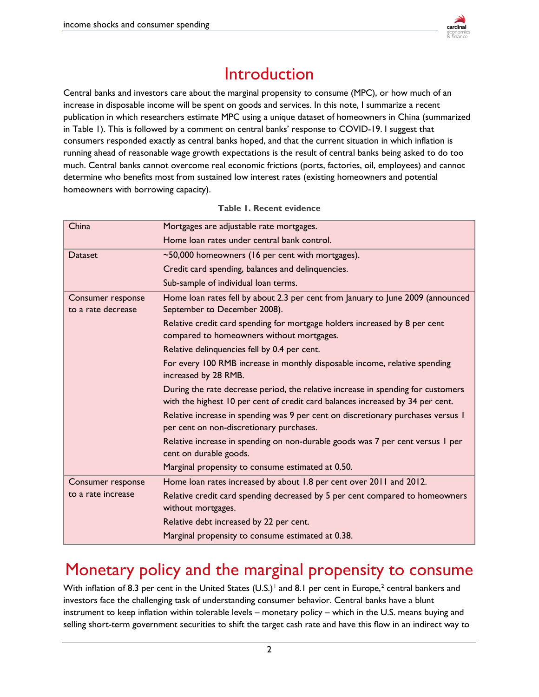

## Introduction

Central banks and investors care about the marginal propensity to consume (MPC), or how much of an increase in disposable income will be spent on goods and services. In this note, I summarize a recent publication in which researchers estimate MPC using a unique dataset of homeowners in China (summarized in Table 1). This is followed by a comment on central banks' response to COVID-19. I suggest that consumers responded exactly as central banks hoped, and that the current situation in which inflation is running ahead of reasonable wage growth expectations is the result of central banks being asked to do too much. Central banks cannot overcome real economic frictions (ports, factories, oil, employees) and cannot determine who benefits most from sustained low interest rates (existing homeowners and potential homeowners with borrowing capacity).

| China              | Mortgages are adjustable rate mortgages.                                                                                                                           |
|--------------------|--------------------------------------------------------------------------------------------------------------------------------------------------------------------|
|                    | Home loan rates under central bank control.                                                                                                                        |
| <b>Dataset</b>     | ~50,000 homeowners (16 per cent with mortgages).                                                                                                                   |
|                    | Credit card spending, balances and delinquencies.                                                                                                                  |
|                    | Sub-sample of individual loan terms.                                                                                                                               |
| Consumer response  | Home loan rates fell by about 2.3 per cent from January to June 2009 (announced                                                                                    |
| to a rate decrease | September to December 2008).                                                                                                                                       |
|                    | Relative credit card spending for mortgage holders increased by 8 per cent<br>compared to homeowners without mortgages.                                            |
|                    | Relative delinquencies fell by 0.4 per cent.                                                                                                                       |
|                    | For every 100 RMB increase in monthly disposable income, relative spending<br>increased by 28 RMB.                                                                 |
|                    | During the rate decrease period, the relative increase in spending for customers<br>with the highest 10 per cent of credit card balances increased by 34 per cent. |
|                    | Relative increase in spending was 9 per cent on discretionary purchases versus 1<br>per cent on non-discretionary purchases.                                       |
|                    | Relative increase in spending on non-durable goods was 7 per cent versus 1 per<br>cent on durable goods.                                                           |
|                    | Marginal propensity to consume estimated at 0.50.                                                                                                                  |
| Consumer response  | Home loan rates increased by about 1.8 per cent over 2011 and 2012.                                                                                                |
| to a rate increase | Relative credit card spending decreased by 5 per cent compared to homeowners<br>without mortgages.                                                                 |
|                    | Relative debt increased by 22 per cent.                                                                                                                            |
|                    | Marginal propensity to consume estimated at 0.38.                                                                                                                  |

#### **Table 1. Recent evidence**

## Monetary policy and the marginal propensity to consume

With inflation of 8.3 per cent in the United States (U.S.)<sup>[1](#page-6-0)</sup> and 8.1 per cent in Europe,<sup>[2](#page-6-1)</sup> central bankers and investors face the challenging task of understanding consumer behavior. Central banks have a blunt instrument to keep inflation within tolerable levels – monetary policy – which in the U.S. means buying and selling short-term government securities to shift the target cash rate and have this flow in an indirect way to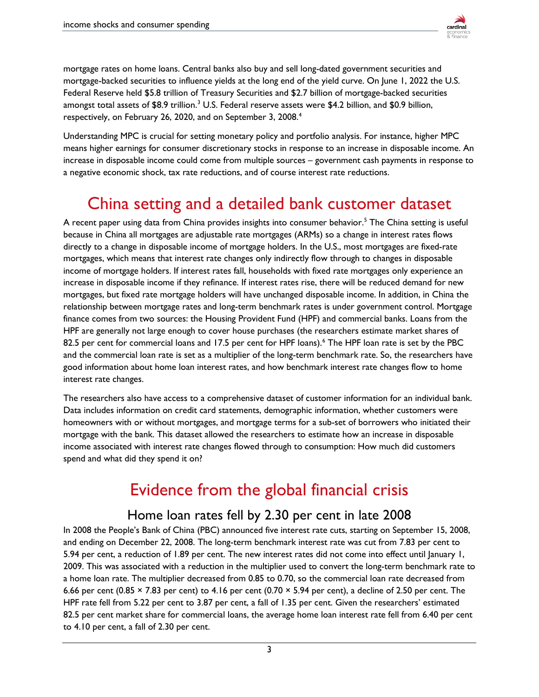

mortgage rates on home loans. Central banks also buy and sell long-dated government securities and mortgage-backed securities to influence yields at the long end of the yield curve. On June 1, 2022 the U.S. Federal Reserve held \$5.8 trillion of Treasury Securities and \$2.7 billion of mortgage-backed securities amongst total assets of \$8.9 trillion.<sup>[3](#page-6-2)</sup> U.S. Federal reserve assets were \$4.2 billion, and \$0.9 billion, respectively, on February 26, 2020, and on September 3, 2008.<sup>[4](#page-6-3)</sup>

Understanding MPC is crucial for setting monetary policy and portfolio analysis. For instance, higher MPC means higher earnings for consumer discretionary stocks in response to an increase in disposable income. An increase in disposable income could come from multiple sources – government cash payments in response to a negative economic shock, tax rate reductions, and of course interest rate reductions.

## China setting and a detailed bank customer dataset

A recent paper using data from China provides insights into consumer behavior.<sup>[5](#page-6-4)</sup> The China setting is useful because in China all mortgages are adjustable rate mortgages (ARMs) so a change in interest rates flows directly to a change in disposable income of mortgage holders. In the U.S., most mortgages are fixed-rate mortgages, which means that interest rate changes only indirectly flow through to changes in disposable income of mortgage holders. If interest rates fall, households with fixed rate mortgages only experience an increase in disposable income if they refinance. If interest rates rise, there will be reduced demand for new mortgages, but fixed rate mortgage holders will have unchanged disposable income. In addition, in China the relationship between mortgage rates and long-term benchmark rates is under government control. Mortgage finance comes from two sources: the Housing Provident Fund (HPF) and commercial banks. Loans from the HPF are generally not large enough to cover house purchases (the researchers estimate market shares of 82.5 per cent for commercial loans and 17.5 per cent for HPF loans).<sup>[6](#page-6-5)</sup> The HPF loan rate is set by the PBC and the commercial loan rate is set as a multiplier of the long-term benchmark rate. So, the researchers have good information about home loan interest rates, and how benchmark interest rate changes flow to home interest rate changes.

The researchers also have access to a comprehensive dataset of customer information for an individual bank. Data includes information on credit card statements, demographic information, whether customers were homeowners with or without mortgages, and mortgage terms for a sub-set of borrowers who initiated their mortgage with the bank. This dataset allowed the researchers to estimate how an increase in disposable income associated with interest rate changes flowed through to consumption: How much did customers spend and what did they spend it on?

## Evidence from the global financial crisis

#### Home loan rates fell by 2.30 per cent in late 2008

In 2008 the People's Bank of China (PBC) announced five interest rate cuts, starting on September 15, 2008, and ending on December 22, 2008. The long-term benchmark interest rate was cut from 7.83 per cent to 5.94 per cent, a reduction of 1.89 per cent. The new interest rates did not come into effect until January 1, 2009. This was associated with a reduction in the multiplier used to convert the long-term benchmark rate to a home loan rate. The multiplier decreased from 0.85 to 0.70, so the commercial loan rate decreased from 6.66 per cent (0.85  $\times$  7.83 per cent) to 4.16 per cent (0.70  $\times$  5.94 per cent), a decline of 2.50 per cent. The HPF rate fell from 5.22 per cent to 3.87 per cent, a fall of 1.35 per cent. Given the researchers' estimated 82.5 per cent market share for commercial loans, the average home loan interest rate fell from 6.40 per cent to 4.10 per cent, a fall of 2.30 per cent.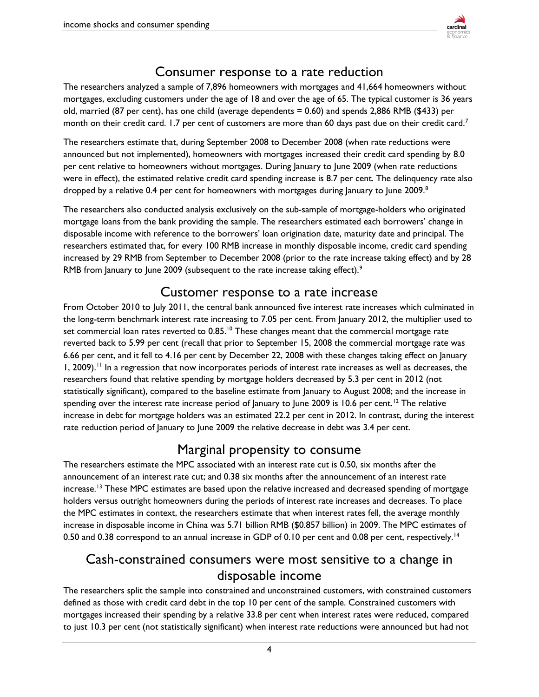

### Consumer response to a rate reduction

The researchers analyzed a sample of 7,896 homeowners with mortgages and 41,664 homeowners without mortgages, excluding customers under the age of 18 and over the age of 65. The typical customer is 36 years old, married (87 per cent), has one child (average dependents = 0.60) and spends 2,886 RMB (\$433) per month on their credit card. 1.[7](#page-6-6) per cent of customers are more than 60 days past due on their credit card.<sup>7</sup>

The researchers estimate that, during September 2008 to December 2008 (when rate reductions were announced but not implemented), homeowners with mortgages increased their credit card spending by 8.0 per cent relative to homeowners without mortgages. During January to June 2009 (when rate reductions were in effect), the estimated relative credit card spending increase is 8.7 per cent. The delinquency rate also dropped by a relative  $0.4$  per cent for homeowners with mortgages during lanuary to lune 2009.<sup>8</sup>

The researchers also conducted analysis exclusively on the sub-sample of mortgage-holders who originated mortgage loans from the bank providing the sample. The researchers estimated each borrowers' change in disposable income with reference to the borrowers' loan origination date, maturity date and principal. The researchers estimated that, for every 100 RMB increase in monthly disposable income, credit card spending increased by 29 RMB from September to December 2008 (prior to the rate increase taking effect) and by 28 RMB from January to June 2009 (subsequent to the rate increase taking effect).<sup>9</sup>

#### Customer response to a rate increase

From October 2010 to July 2011, the central bank announced five interest rate increases which culminated in the long-term benchmark interest rate increasing to 7.05 per cent. From January 2012, the multiplier used to set commercial loan rates reverted to  $0.85$ .<sup>[10](#page-6-9)</sup> These changes meant that the commercial mortgage rate reverted back to 5.99 per cent (recall that prior to September 15, 2008 the commercial mortgage rate was 6.66 per cent, and it fell to 4.16 per cent by December 22, 2008 with these changes taking effect on January 1, 2009).<sup>[11](#page-6-10)</sup> In a regression that now incorporates periods of interest rate increases as well as decreases, the researchers found that relative spending by mortgage holders decreased by 5.3 per cent in 2012 (not statistically significant), compared to the baseline estimate from January to August 2008; and the increase in spending over the interest rate increase period of January to June 2009 is 10.6 per cent.<sup>[12](#page-6-11)</sup> The relative increase in debt for mortgage holders was an estimated 22.2 per cent in 2012. In contrast, during the interest rate reduction period of January to June 2009 the relative decrease in debt was 3.4 per cent.

#### Marginal propensity to consume

The researchers estimate the MPC associated with an interest rate cut is 0.50, six months after the announcement of an interest rate cut; and 0.38 six months after the announcement of an interest rate increase.<sup>[13](#page-6-12)</sup> These MPC estimates are based upon the relative increased and decreased spending of mortgage holders versus outright homeowners during the periods of interest rate increases and decreases. To place the MPC estimates in context, the researchers estimate that when interest rates fell, the average monthly increase in disposable income in China was 5.71 billion RMB (\$0.857 billion) in 2009. The MPC estimates of 0.50 and 0.38 correspond to an annual increase in GDP of 0.10 per cent and 0.08 per cent, respectively.<sup>14</sup>

#### Cash-constrained consumers were most sensitive to a change in disposable income

The researchers split the sample into constrained and unconstrained customers, with constrained customers defined as those with credit card debt in the top 10 per cent of the sample. Constrained customers with mortgages increased their spending by a relative 33.8 per cent when interest rates were reduced, compared to just 10.3 per cent (not statistically significant) when interest rate reductions were announced but had not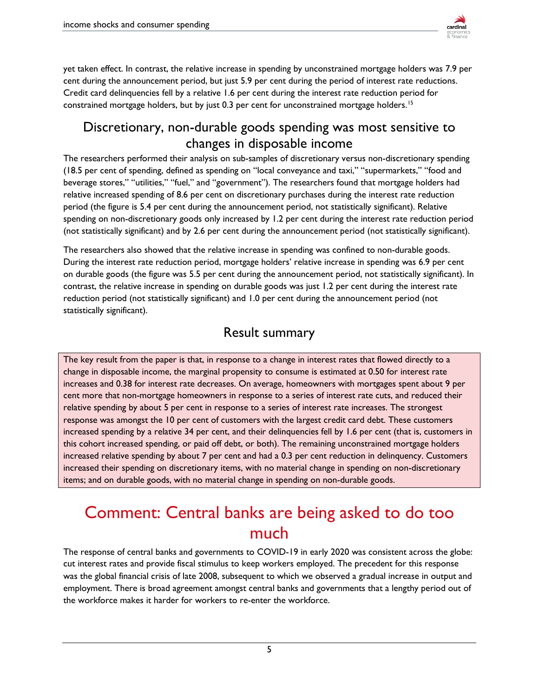

yet taken effect. In contrast, the relative increase in spending by unconstrained mortgage holders was 7.9 per cent during the announcement period, but just 5.9 per cent during the period of interest rate reductions. Credit card delinquencies fell by a relative 1.6 per cent during the interest rate reduction period for constrained mortgage holders, but by just 0.3 per cent for unconstrained mortgage holders.<sup>[15](#page-6-14)</sup>

#### Discretionary, non-durable goods spending was most sensitive to changes in disposable income

The researchers performed their analysis on sub-samples of discretionary versus non-discretionary spending (18.5 per cent of spending, defined as spending on "local conveyance and taxi," "supermarkets," "food and beverage stores," "utilities," "fuel," and "government"). The researchers found that mortgage holders had relative increased spending of 8.6 per cent on discretionary purchases during the interest rate reduction period (the figure is 5.4 per cent during the announcement period, not statistically significant). Relative spending on non-discretionary goods only increased by 1.2 per cent during the interest rate reduction period (not statistically significant) and by 2.6 per cent during the announcement period (not statistically significant).

The researchers also showed that the relative increase in spending was confined to non-durable goods. During the interest rate reduction period, mortgage holders' relative increase in spending was 6.9 per cent on durable goods (the figure was 5.5 per cent during the announcement period, not statistically significant). In contrast, the relative increase in spending on durable goods was just 1.2 per cent during the interest rate reduction period (not statistically significant) and 1.0 per cent during the announcement period (not statistically significant).

#### Result summary

The key result from the paper is that, in response to a change in interest rates that flowed directly to a change in disposable income, the marginal propensity to consume is estimated at 0.50 for interest rate increases and 0.38 for interest rate decreases. On average, homeowners with mortgages spent about 9 per cent more that non-mortgage homeowners in response to a series of interest rate cuts, and reduced their relative spending by about 5 per cent in response to a series of interest rate increases. The strongest response was amongst the 10 per cent of customers with the largest credit card debt. These customers increased spending by a relative 34 per cent, and their delinquencies fell by 1.6 per cent (that is, customers in this cohort increased spending, or paid off debt, or both). The remaining unconstrained mortgage holders increased relative spending by about 7 per cent and had a 0.3 per cent reduction in delinquency. Customers increased their spending on discretionary items, with no material change in spending on non-discretionary items; and on durable goods, with no material change in spending on non-durable goods.

## Comment: Central banks are being asked to do too much

The response of central banks and governments to COVID-19 in early 2020 was consistent across the globe: cut interest rates and provide fiscal stimulus to keep workers employed. The precedent for this response was the global financial crisis of late 2008, subsequent to which we observed a gradual increase in output and employment. There is broad agreement amongst central banks and governments that a lengthy period out of the workforce makes it harder for workers to re-enter the workforce.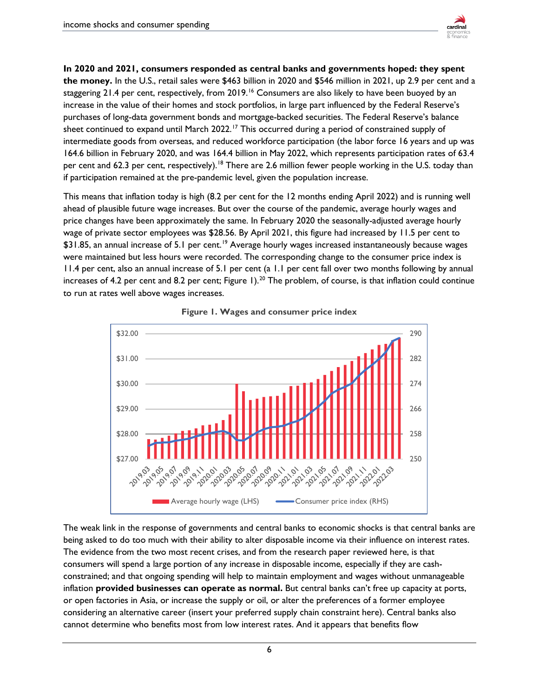

**In 2020 and 2021, consumers responded as central banks and governments hoped: they spent the money.** In the U.S., retail sales were \$463 billion in 2020 and \$546 million in 2021, up 2.9 per cent and a staggering 21.4 per cent, respectively, from 2019.<sup>[16](#page-6-15)</sup> Consumers are also likely to have been buoyed by an increase in the value of their homes and stock portfolios, in large part influenced by the Federal Reserve's purchases of long-data government bonds and mortgage-backed securities. The Federal Reserve's balance sheet continued to expand until March 2022.<sup>[17](#page-6-16)</sup> This occurred during a period of constrained supply of intermediate goods from overseas, and reduced workforce participation (the labor force 16 years and up was 164.6 billion in February 2020, and was 164.4 billion in May 2022, which represents participation rates of 63.4 per cent and 62.3 per cent, respectively).<sup>18</sup> There are 2.6 million fewer people working in the U.S. today than if participation remained at the pre-pandemic level, given the population increase.

This means that inflation today is high (8.2 per cent for the 12 months ending April 2022) and is running well ahead of plausible future wage increases. But over the course of the pandemic, average hourly wages and price changes have been approximately the same. In February 2020 the seasonally-adjusted average hourly wage of private sector employees was \$28.56. By April 2021, this figure had increased by 11.5 per cent to \$31.85, an annual increase of 5.1 per cent.<sup>19</sup> Average hourly wages increased instantaneously because wages were maintained but less hours were recorded. The corresponding change to the consumer price index is 11.4 per cent, also an annual increase of 5.1 per cent (a 1.1 per cent fall over two months following by annual increases of 4.2 per cent and 8.2 per cent; Figure 1).<sup>[20](#page-6-19)</sup> The problem, of course, is that inflation could continue to run at rates well above wages increases.





The weak link in the response of governments and central banks to economic shocks is that central banks are being asked to do too much with their ability to alter disposable income via their influence on interest rates. The evidence from the two most recent crises, and from the research paper reviewed here, is that consumers will spend a large portion of any increase in disposable income, especially if they are cashconstrained; and that ongoing spending will help to maintain employment and wages without unmanageable inflation **provided businesses can operate as normal.** But central banks can't free up capacity at ports, or open factories in Asia, or increase the supply or oil, or alter the preferences of a former employee considering an alternative career (insert your preferred supply chain constraint here). Central banks also cannot determine who benefits most from low interest rates. And it appears that benefits flow